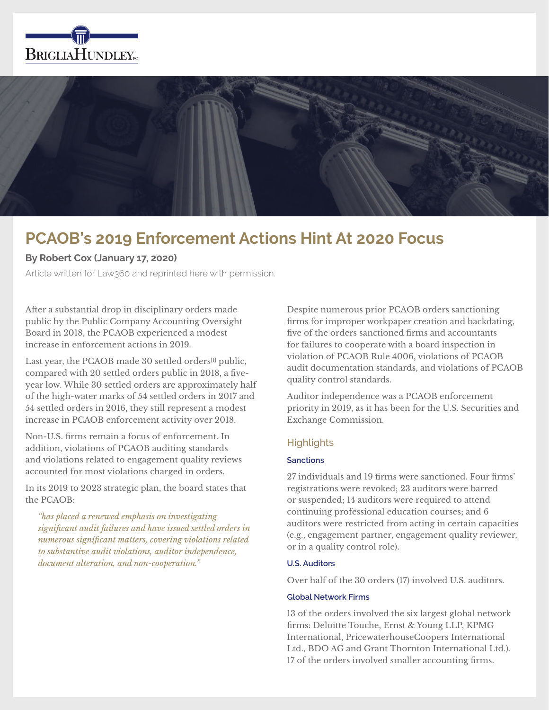



# **PCAOB's 2019 Enforcement Actions Hint At 2020 Focus**

# **By Robert Cox (January 17, 2020)**

Article written for Law360 and reprinted here with permission.

After a substantial drop in disciplinary orders made public by the Public Company Accounting Oversight Board in 2018, the PCAOB experienced a modest increase in enforcement actions in 2019.

Last year, the PCAOB made 30 settled orders<sup>[1]</sup> public, compared with 20 settled orders public in 2018, a fiveyear low. While 30 settled orders are approximately half of the high-water marks of 54 settled orders in 2017 and 54 settled orders in 2016, they still represent a modest increase in PCAOB enforcement activity over 2018.

Non-U.S. firms remain a focus of enforcement. In addition, violations of PCAOB auditing standards and violations related to engagement quality reviews accounted for most violations charged in orders.

In its 2019 to 2023 strategic plan, the board states that the PCAOB:

*"has placed a renewed emphasis on investigating significant audit failures and have issued settled orders in numerous significant matters, covering violations related to substantive audit violations, auditor independence, document alteration, and non-cooperation."*

Despite numerous prior PCAOB orders sanctioning firms for improper workpaper creation and backdating, five of the orders sanctioned firms and accountants for failures to cooperate with a board inspection in violation of PCAOB Rule 4006, violations of PCAOB audit documentation standards, and violations of PCAOB quality control standards.

Auditor independence was a PCAOB enforcement priority in 2019, as it has been for the U.S. Securities and Exchange Commission.

# **Highlights**

# **Sanctions**

27 individuals and 19 firms were sanctioned. Four firms' registrations were revoked; 23 auditors were barred or suspended; 14 auditors were required to attend continuing professional education courses; and 6 auditors were restricted from acting in certain capacities (e.g., engagement partner, engagement quality reviewer, or in a quality control role).

### **U.S. Auditors**

Over half of the 30 orders (17) involved U.S. auditors.

#### **Global Network Firms**

13 of the orders involved the six largest global network firms: Deloitte Touche, Ernst & Young LLP, KPMG International, PricewaterhouseCoopers International Ltd., BDO AG and Grant Thornton International Ltd.). 17 of the orders involved smaller accounting firms.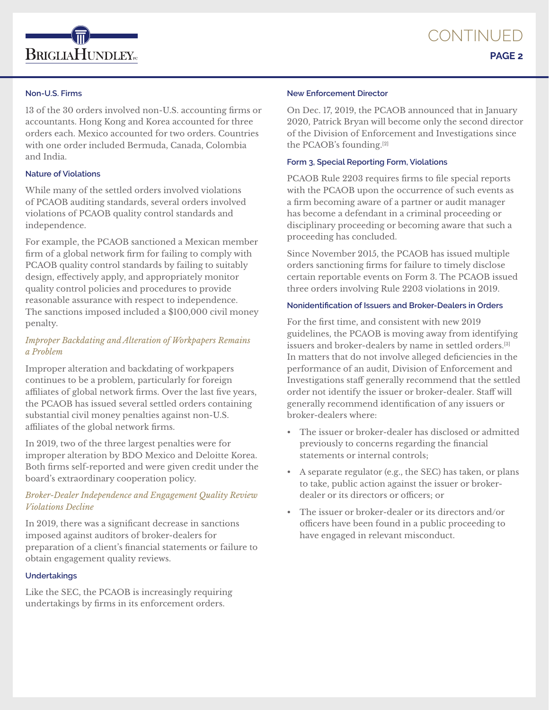

### **Non-U.S. Firms**

13 of the 30 orders involved non-U.S. accounting firms or accountants. Hong Kong and Korea accounted for three orders each. Mexico accounted for two orders. Countries with one order included Bermuda, Canada, Colombia and India.

### **Nature of Violations**

While many of the settled orders involved violations of PCAOB auditing standards, several orders involved violations of PCAOB quality control standards and independence.

For example, the PCAOB sanctioned a Mexican member firm of a global network firm for failing to comply with PCAOB quality control standards by failing to suitably design, effectively apply, and appropriately monitor quality control policies and procedures to provide reasonable assurance with respect to independence. The sanctions imposed included a \$100,000 civil money penalty.

# *Improper Backdating and Alteration of Workpapers Remains a Problem*

Improper alteration and backdating of workpapers continues to be a problem, particularly for foreign affiliates of global network firms. Over the last five years, the PCAOB has issued several settled orders containing substantial civil money penalties against non-U.S. affiliates of the global network firms.

In 2019, two of the three largest penalties were for improper alteration by BDO Mexico and Deloitte Korea. Both firms self-reported and were given credit under the board's extraordinary cooperation policy.

# *Broker-Dealer Independence and Engagement Quality Review Violations Decline*

In 2019, there was a significant decrease in sanctions imposed against auditors of broker-dealers for preparation of a client's financial statements or failure to obtain engagement quality reviews.

### **Undertakings**

Like the SEC, the PCAOB is increasingly requiring undertakings by firms in its enforcement orders.

### **New Enforcement Director**

On Dec. 17, 2019, the PCAOB announced that in January 2020, Patrick Bryan will become only the second director of the Division of Enforcement and Investigations since the PCAOB's founding.[2]

### **Form 3, Special Reporting Form, Violations**

PCAOB Rule 2203 requires firms to file special reports with the PCAOB upon the occurrence of such events as a firm becoming aware of a partner or audit manager has become a defendant in a criminal proceeding or disciplinary proceeding or becoming aware that such a proceeding has concluded.

Since November 2015, the PCAOB has issued multiple orders sanctioning firms for failure to timely disclose certain reportable events on Form 3. The PCAOB issued three orders involving Rule 2203 violations in 2019.

# **Nonidentification of Issuers and Broker-Dealers in Orders**

For the first time, and consistent with new 2019 guidelines, the PCAOB is moving away from identifying issuers and broker-dealers by name in settled orders.[3] In matters that do not involve alleged deficiencies in the performance of an audit, Division of Enforcement and Investigations staff generally recommend that the settled order not identify the issuer or broker-dealer. Staff will generally recommend identification of any issuers or broker-dealers where:

- The issuer or broker-dealer has disclosed or admitted previously to concerns regarding the financial statements or internal controls;
- A separate regulator (e.g., the SEC) has taken, or plans to take, public action against the issuer or brokerdealer or its directors or officers; or
- The issuer or broker-dealer or its directors and/or officers have been found in a public proceeding to have engaged in relevant misconduct.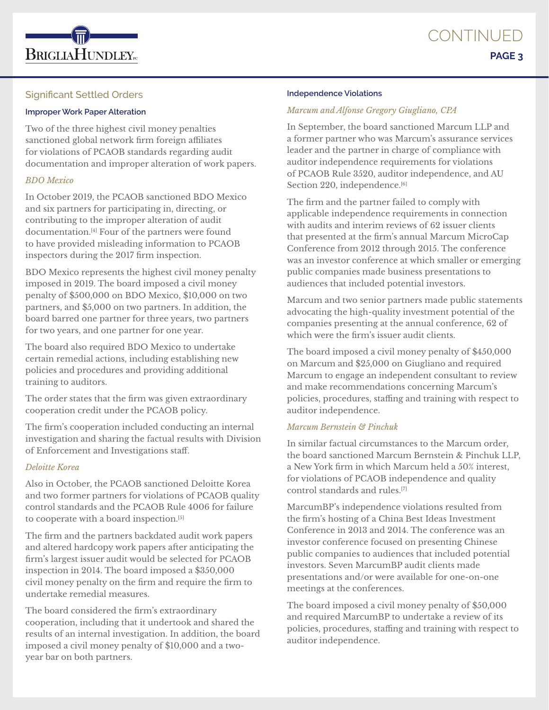

# Significant Settled Orders

### **Improper Work Paper Alteration**

Two of the three highest civil money penalties sanctioned global network firm foreign affiliates for violations of PCAOB standards regarding audit documentation and improper alteration of work papers.

# *BDO Mexico*

In October 2019, the PCAOB sanctioned BDO Mexico and six partners for participating in, directing, or contributing to the improper alteration of audit documentation.[4] Four of the partners were found to have provided misleading information to PCAOB inspectors during the 2017 firm inspection.

BDO Mexico represents the highest civil money penalty imposed in 2019. The board imposed a civil money penalty of \$500,000 on BDO Mexico, \$10,000 on two partners, and \$5,000 on two partners. In addition, the board barred one partner for three years, two partners for two years, and one partner for one year.

The board also required BDO Mexico to undertake certain remedial actions, including establishing new policies and procedures and providing additional training to auditors.

The order states that the firm was given extraordinary cooperation credit under the PCAOB policy.

The firm's cooperation included conducting an internal investigation and sharing the factual results with Division of Enforcement and Investigations staff.

### *Deloitte Korea*

Also in October, the PCAOB sanctioned Deloitte Korea and two former partners for violations of PCAOB quality control standards and the PCAOB Rule 4006 for failure to cooperate with a board inspection.[5]

The firm and the partners backdated audit work papers and altered hardcopy work papers after anticipating the firm's largest issuer audit would be selected for PCAOB inspection in 2014. The board imposed a \$350,000 civil money penalty on the firm and require the firm to undertake remedial measures.

The board considered the firm's extraordinary cooperation, including that it undertook and shared the results of an internal investigation. In addition, the board imposed a civil money penalty of \$10,000 and a twoyear bar on both partners.

#### **Independence Violations**

# *Marcum and Alfonse Gregory Giugliano, CPA*

In September, the board sanctioned Marcum LLP and a former partner who was Marcum's assurance services leader and the partner in charge of compliance with auditor independence requirements for violations of PCAOB Rule 3520, auditor independence, and AU Section 220, independence.<sup>[6]</sup>

The firm and the partner failed to comply with applicable independence requirements in connection with audits and interim reviews of 62 issuer clients that presented at the firm's annual Marcum MicroCap Conference from 2012 through 2015. The conference was an investor conference at which smaller or emerging public companies made business presentations to audiences that included potential investors.

Marcum and two senior partners made public statements advocating the high-quality investment potential of the companies presenting at the annual conference, 62 of which were the firm's issuer audit clients.

The board imposed a civil money penalty of \$450,000 on Marcum and \$25,000 on Giugliano and required Marcum to engage an independent consultant to review and make recommendations concerning Marcum's policies, procedures, staffing and training with respect to auditor independence.

# *Marcum Bernstein & Pinchuk*

In similar factual circumstances to the Marcum order, the board sanctioned Marcum Bernstein & Pinchuk LLP, a New York firm in which Marcum held a 50% interest, for violations of PCAOB independence and quality control standards and rules.[7]

MarcumBP's independence violations resulted from the firm's hosting of a China Best Ideas Investment Conference in 2013 and 2014. The conference was an investor conference focused on presenting Chinese public companies to audiences that included potential investors. Seven MarcumBP audit clients made presentations and/or were available for one-on-one meetings at the conferences.

The board imposed a civil money penalty of \$50,000 and required MarcumBP to undertake a review of its policies, procedures, staffing and training with respect to auditor independence.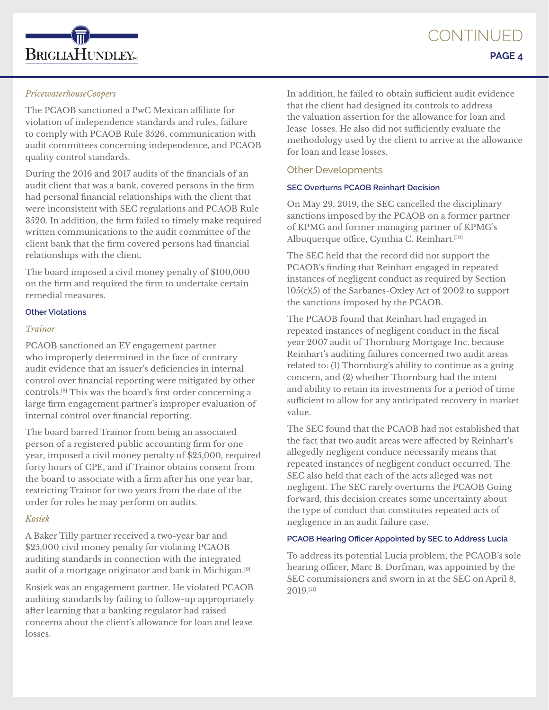

### *PricewaterhouseCoopers*

The PCAOB sanctioned a PwC Mexican affiliate for violation of independence standards and rules, failure to comply with PCAOB Rule 3526, communication with audit committees concerning independence, and PCAOB quality control standards.

During the 2016 and 2017 audits of the financials of an audit client that was a bank, covered persons in the firm had personal financial relationships with the client that were inconsistent with SEC regulations and PCAOB Rule 3520. In addition, the firm failed to timely make required written communications to the audit committee of the client bank that the firm covered persons had financial relationships with the client.

The board imposed a civil money penalty of \$100,000 on the firm and required the firm to undertake certain remedial measures.

### **Other Violations**

#### *Trainor*

PCAOB sanctioned an EY engagement partner who improperly determined in the face of contrary audit evidence that an issuer's deficiencies in internal control over financial reporting were mitigated by other controls.[8] This was the board's first order concerning a large firm engagement partner's improper evaluation of internal control over financial reporting.

The board barred Trainor from being an associated person of a registered public accounting firm for one year, imposed a civil money penalty of \$25,000, required forty hours of CPE, and if Trainor obtains consent from the board to associate with a firm after his one year bar, restricting Trainor for two years from the date of the order for roles he may perform on audits.

# *Kosiek*

A Baker Tilly partner received a two-year bar and \$25,000 civil money penalty for violating PCAOB auditing standards in connection with the integrated audit of a mortgage originator and bank in Michigan.[9]

Kosiek was an engagement partner. He violated PCAOB auditing standards by failing to follow-up appropriately after learning that a banking regulator had raised concerns about the client's allowance for loan and lease losses.

In addition, he failed to obtain sufficient audit evidence that the client had designed its controls to address the valuation assertion for the allowance for loan and lease losses. He also did not sufficiently evaluate the methodology used by the client to arrive at the allowance for loan and lease losses.

# Other Developments

### **SEC Overturns PCAOB Reinhart Decision**

On May 29, 2019, the SEC cancelled the disciplinary sanctions imposed by the PCAOB on a former partner of KPMG and former managing partner of KPMG's Albuquerque office, Cynthia C. Reinhart.<sup>[10]</sup>

The SEC held that the record did not support the PCAOB's finding that Reinhart engaged in repeated instances of negligent conduct as required by Section 105(c)(5) of the Sarbanes-Oxley Act of 2002 to support the sanctions imposed by the PCAOB.

The PCAOB found that Reinhart had engaged in repeated instances of negligent conduct in the fiscal year 2007 audit of Thornburg Mortgage Inc. because Reinhart's auditing failures concerned two audit areas related to: (1) Thornburg's ability to continue as a going concern, and (2) whether Thornburg had the intent and ability to retain its investments for a period of time sufficient to allow for any anticipated recovery in market value.

The SEC found that the PCAOB had not established that the fact that two audit areas were affected by Reinhart's allegedly negligent conduce necessarily means that repeated instances of negligent conduct occurred. The SEC also held that each of the acts alleged was not negligent. The SEC rarely overturns the PCAOB Going forward, this decision creates some uncertainty about the type of conduct that constitutes repeated acts of negligence in an audit failure case.

### **PCAOB Hearing Officer Appointed by SEC to Address Lucia**

To address its potential Lucia problem, the PCAOB's sole hearing officer, Marc B. Dorfman, was appointed by the SEC commissioners and sworn in at the SEC on April 8, 2019.[11]